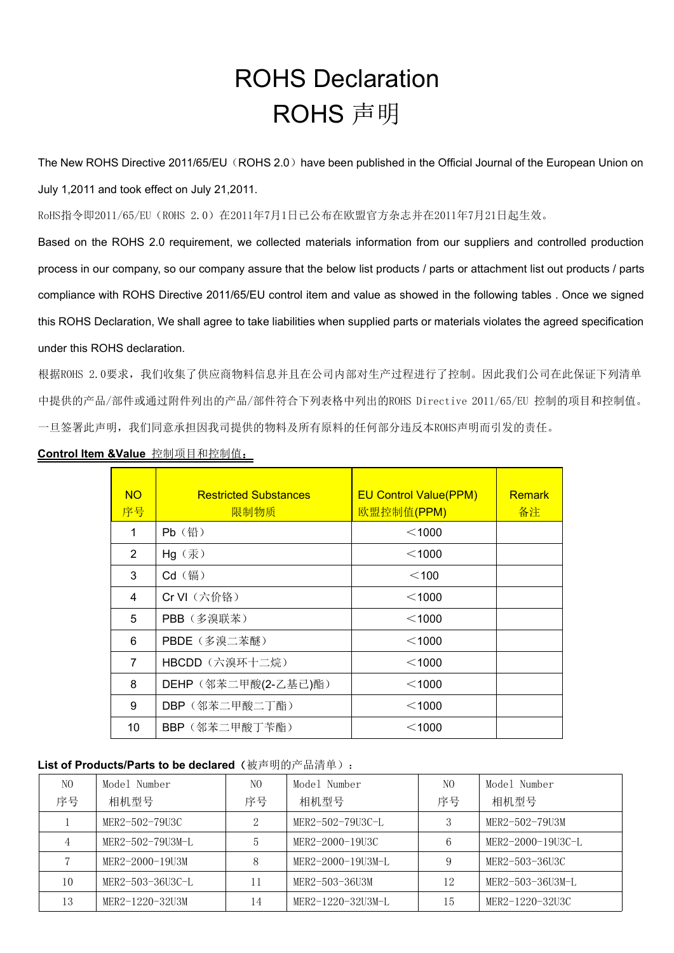# ROHS Declaration ROHS 声明

The New ROHS Directive 2011/65/EU (ROHS 2.0) have been published in the Official Journal of the European Union on July 1,2011 and took effect on July 21,2011.

RoHS指令即2011/65/EU(ROHS 2.0)在2011年7月1日已公布在欧盟官方杂志并在2011年7月21日起生效。

Based on the ROHS 2.0 requirement, we collected materials information from our suppliers and controlled production process in our company, so our company assure that the below list products / parts or attachment list out products / parts compliance with ROHS Directive 2011/65/EU control item and value as showed in the following tables . Once we signed this ROHS Declaration, We shall agree to take liabilities when supplied parts or materials violates the agreed specification under this ROHS declaration.

根据ROHS 2.0要求,我们收集了供应商物料信息并且在公司内部对生产过程进行了控制。因此我们公司在此保证下列清单 中提供的产品/部件或通过附件列出的产品/部件符合下列表格中列出的ROHS Directive 2011/65/EU 控制的项目和控制值。 一旦签署此声明,我们同意承担因我司提供的物料及所有原料的任何部分违反本ROHS声明而引发的责任。

| <b>NO</b>      | <b>Restricted Substances</b> | <b>EU Control Value(PPM)</b> | <b>Remark</b> |
|----------------|------------------------------|------------------------------|---------------|
| 序号             | 限制物质                         | 欧盟控制值(PPM)                   | 备注            |
| 1              | Pb (铅)                       | $<$ 1000                     |               |
| $\overline{2}$ | Hg (汞)                       | $<$ 1000                     |               |
| 3              | Cd (镉)                       | $<$ 100                      |               |
| $\overline{4}$ | Cr VI (六价铬)                  | $<$ 1000                     |               |
| 5              | PBB (多溴联苯)                   | $<$ 1000                     |               |
| 6              | PBDE (多溴二苯醚)                 | $<$ 1000                     |               |
| $\overline{7}$ | HBCDD (六溴环十二烷)               | $<$ 1000                     |               |
| 8              | DEHP (邻苯二甲酸(2-乙基己)酯)         | $<$ 1000                     |               |
| 9              | DBP (邻苯二甲酸二丁酯)               | $<$ 1000                     |               |
| 10             | BBP (邻苯二甲酸丁苄酯)               | $<$ 1000                     |               |

#### **Control Item &Value** 控制项目和控制值:

### **List of Products/Parts to be declared**(被声明的产品清单):

| N <sub>O</sub> | Model Number     | N <sub>0</sub> | Model Number      | N <sub>0</sub> | Model Number      |
|----------------|------------------|----------------|-------------------|----------------|-------------------|
| 序号             | 相机型号             | 序号             | 相机型号              | 序号             | 相机型号              |
|                | MER2-502-79U3C   |                | MER2-502-79U3C-L  |                | MER2-502-79U3M    |
|                | MER2-502-79U3M-L |                | MER2-2000-19U3C   | b              | MER2-2000-19U3C-L |
|                | MER2-2000-19U3M  | 8              | MER2-2000-19U3M-L | 9              | MER2-503-36U3C    |
| 10             | MER2-503-36U3C-L | 11             | MER2-503-36U3M    | 12             | MER2-503-36U3M-L  |
| 13             | MER2-1220-32U3M  | 14             | MER2-1220-32U3M-L | 15             | MER2-1220-32U3C   |